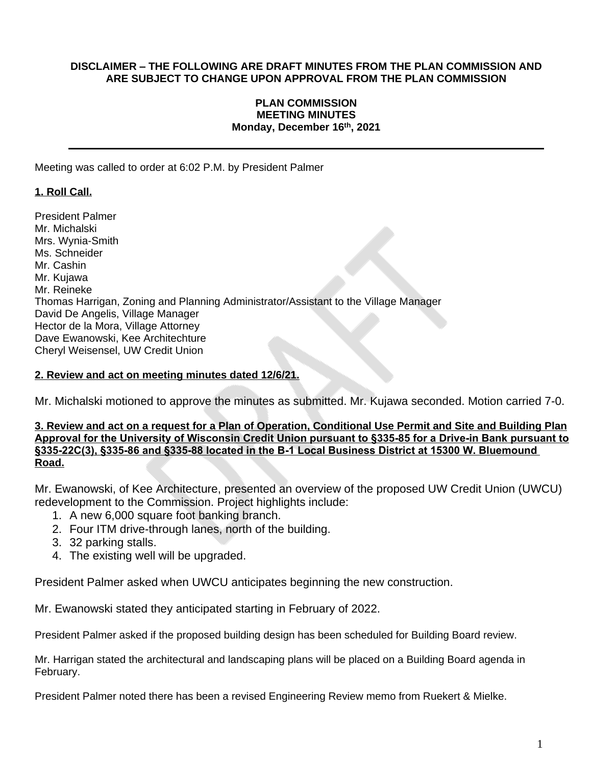#### **DISCLAIMER – THE FOLLOWING ARE DRAFT MINUTES FROM THE PLAN COMMISSION AND ARE SUBJECT TO CHANGE UPON APPROVAL FROM THE PLAN COMMISSION**

#### **PLAN COMMISSION MEETING MINUTES Monday, December 16 th, 2021**

Meeting was called to order at 6:02 P.M. by President Palmer

# **1. Roll Call.**

President Palmer Mr. Michalski Mrs. Wynia-Smith Ms. Schneider Mr. Cashin Mr. Kujawa Mr. Reineke Thomas Harrigan, Zoning and Planning Administrator/Assistant to the Village Manager David De Angelis, Village Manager Hector de la Mora, Village Attorney Dave Ewanowski, Kee Architechture Cheryl Weisensel, UW Credit Union

#### **2. Review and act on meeting minutes dated 12/6/21.**

Mr. Michalski motioned to approve the minutes as submitted. Mr. Kujawa seconded. Motion carried 7-0.

#### **3. Review and act on a request for a Plan of Operation, Conditional Use Permit and Site and Building Plan Approval for the University of Wisconsin Credit Union pursuant to §335-85 for a Drive-in Bank pursuant to §335-22C(3), §335-86 and §335-88 located in the B-1 Local Business District at 15300 W. Bluemound Road.**

Mr. Ewanowski, of Kee Architecture, presented an overview of the proposed UW Credit Union (UWCU) redevelopment to the Commission. Project highlights include:

- 1. A new 6,000 square foot banking branch.
- 2. Four ITM drive-through lanes, north of the building.
- 3. 32 parking stalls.
- 4. The existing well will be upgraded.

President Palmer asked when UWCU anticipates beginning the new construction.

Mr. Ewanowski stated they anticipated starting in February of 2022.

President Palmer asked if the proposed building design has been scheduled for Building Board review.

Mr. Harrigan stated the architectural and landscaping plans will be placed on a Building Board agenda in February.

President Palmer noted there has been a revised Engineering Review memo from Ruekert & Mielke.